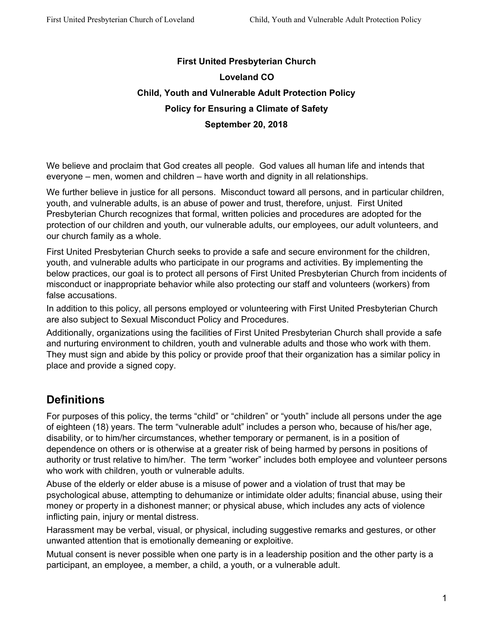# **First United Presbyterian Church Loveland CO Child, Youth and Vulnerable Adult Protection Policy Policy for Ensuring a Climate of Safety September 20, 2018**

We believe and proclaim that God creates all people. God values all human life and intends that everyone – men, women and children – have worth and dignity in all relationships.

We further believe in justice for all persons. Misconduct toward all persons, and in particular children, youth, and vulnerable adults, is an abuse of power and trust, therefore, unjust. First United Presbyterian Church recognizes that formal, written policies and procedures are adopted for the protection of our children and youth, our vulnerable adults, our employees, our adult volunteers, and our church family as a whole.

First United Presbyterian Church seeks to provide a safe and secure environment for the children, youth, and vulnerable adults who participate in our programs and activities. By implementing the below practices, our goal is to protect all persons of First United Presbyterian Church from incidents of misconduct or inappropriate behavior while also protecting our staff and volunteers (workers) from false accusations.

In addition to this policy, all persons employed or volunteering with First United Presbyterian Church are also subject to Sexual Misconduct Policy and Procedures.

Additionally, organizations using the facilities of First United Presbyterian Church shall provide a safe and nurturing environment to children, youth and vulnerable adults and those who work with them. They must sign and abide by this policy or provide proof that their organization has a similar policy in place and provide a signed copy.

# **Definitions**

For purposes of this policy, the terms "child" or "children" or "youth" include all persons under the age of eighteen (18) years. The term "vulnerable adult" includes a person who, because of his/her age, disability, or to him/her circumstances, whether temporary or permanent, is in a position of dependence on others or is otherwise at a greater risk of being harmed by persons in positions of authority or trust relative to him/her. The term "worker" includes both employee and volunteer persons who work with children, youth or vulnerable adults.

Abuse of the elderly or elder abuse is a misuse of power and a violation of trust that may be psychological abuse, attempting to dehumanize or intimidate older adults; financial abuse, using their money or property in a dishonest manner; or physical abuse, which includes any acts of violence inflicting pain, injury or mental distress.

Harassment may be verbal, visual, or physical, including suggestive remarks and gestures, or other unwanted attention that is emotionally demeaning or exploitive.

Mutual consent is never possible when one party is in a leadership position and the other party is a participant, an employee, a member, a child, a youth, or a vulnerable adult.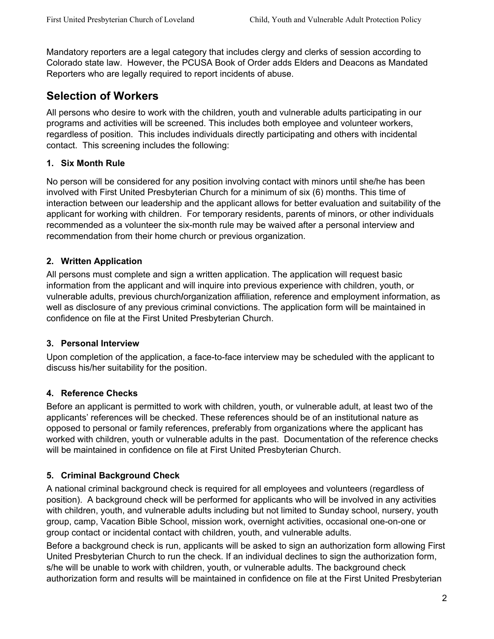Mandatory reporters are a legal category that includes clergy and clerks of session according to Colorado state law. However, the PCUSA Book of Order adds Elders and Deacons as Mandated Reporters who are legally required to report incidents of abuse.

## **Selection of Workers**

All persons who desire to work with the children, youth and vulnerable adults participating in our programs and activities will be screened. This includes both employee and volunteer workers, regardless of position. This includes individuals directly participating and others with incidental contact. This screening includes the following:

### **1. Six Month Rule**

No person will be considered for any position involving contact with minors until she/he has been involved with First United Presbyterian Church for a minimum of six (6) months. This time of interaction between our leadership and the applicant allows for better evaluation and suitability of the applicant for working with children. For temporary residents, parents of minors, or other individuals recommended as a volunteer the six-month rule may be waived after a personal interview and recommendation from their home church or previous organization.

### **2. Written Application**

All persons must complete and sign a written application. The application will request basic information from the applicant and will inquire into previous experience with children, youth, or vulnerable adults, previous church**/**organization affiliation, reference and employment information, as well as disclosure of any previous criminal convictions. The application form will be maintained in confidence on file at the First United Presbyterian Church.

#### **3. Personal Interview**

Upon completion of the application, a face-to-face interview may be scheduled with the applicant to discuss his/her suitability for the position.

## **4. Reference Checks**

Before an applicant is permitted to work with children, youth, or vulnerable adult, at least two of the applicants' references will be checked. These references should be of an institutional nature as opposed to personal or family references, preferably from organizations where the applicant has worked with children, youth or vulnerable adults in the past. Documentation of the reference checks will be maintained in confidence on file at First United Presbyterian Church.

## **5. Criminal Background Check**

A national criminal background check is required for all employees and volunteers (regardless of position). A background check will be performed for applicants who will be involved in any activities with children, youth, and vulnerable adults including but not limited to Sunday school, nursery, youth group, camp, Vacation Bible School, mission work, overnight activities, occasional one-on-one or group contact or incidental contact with children, youth, and vulnerable adults.

Before a background check is run, applicants will be asked to sign an authorization form allowing First United Presbyterian Church to run the check. If an individual declines to sign the authorization form, s/he will be unable to work with children, youth, or vulnerable adults. The background check authorization form and results will be maintained in confidence on file at the First United Presbyterian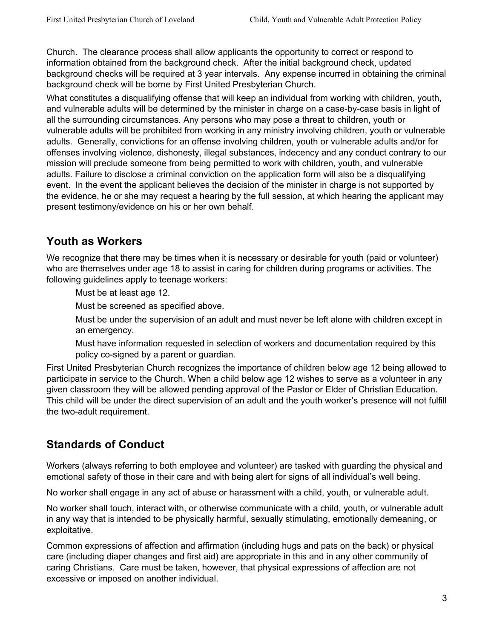Church. The clearance process shall allow applicants the opportunity to correct or respond to information obtained from the background check. After the initial background check, updated background checks will be required at 3 year intervals. Any expense incurred in obtaining the criminal background check will be borne by First United Presbyterian Church.

What constitutes a disqualifying offense that will keep an individual from working with children, youth, and vulnerable adults will be determined by the minister in charge on a case-by-case basis in light of all the surrounding circumstances. Any persons who may pose a threat to children, youth or vulnerable adults will be prohibited from working in any ministry involving children, youth or vulnerable adults. Generally, convictions for an offense involving children, youth or vulnerable adults and/or for offenses involving violence, dishonesty, illegal substances, indecency and any conduct contrary to our mission will preclude someone from being permitted to work with children, youth, and vulnerable adults. Failure to disclose a criminal conviction on the application form will also be a disqualifying event. In the event the applicant believes the decision of the minister in charge is not supported by the evidence, he or she may request a hearing by the full session, at which hearing the applicant may present testimony/evidence on his or her own behalf.

# **Youth as Workers**

We recognize that there may be times when it is necessary or desirable for youth (paid or volunteer) who are themselves under age 18 to assist in caring for children during programs or activities. The following guidelines apply to teenage workers:

Must be at least age 12.

Must be screened as specified above.

Must be under the supervision of an adult and must never be left alone with children except in an emergency.

Must have information requested in selection of workers and documentation required by this policy co-signed by a parent or guardian.

First United Presbyterian Church recognizes the importance of children below age 12 being allowed to participate in service to the Church. When a child below age 12 wishes to serve as a volunteer in any given classroom they will be allowed pending approval of the Pastor or Elder of Christian Education. This child will be under the direct supervision of an adult and the youth worker's presence will not fulfill the two-adult requirement.

# **Standards of Conduct**

Workers (always referring to both employee and volunteer) are tasked with guarding the physical and emotional safety of those in their care and with being alert for signs of all individual's well being.

No worker shall engage in any act of abuse or harassment with a child, youth, or vulnerable adult.

No worker shall touch, interact with, or otherwise communicate with a child, youth, or vulnerable adult in any way that is intended to be physically harmful, sexually stimulating, emotionally demeaning, or exploitative.

Common expressions of affection and affirmation (including hugs and pats on the back) or physical care (including diaper changes and first aid) are appropriate in this and in any other community of caring Christians. Care must be taken, however, that physical expressions of affection are not excessive or imposed on another individual.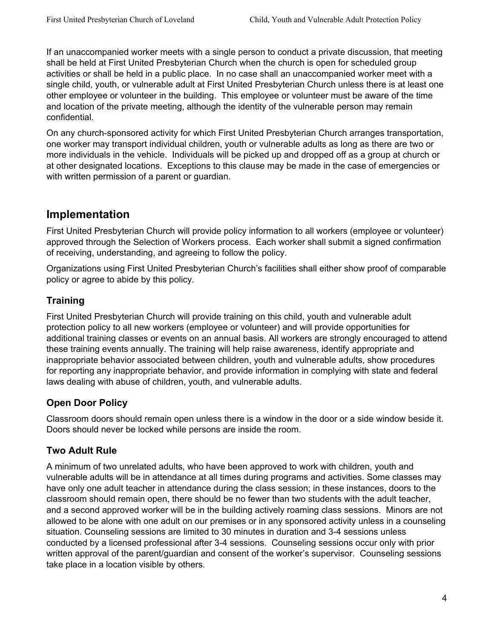If an unaccompanied worker meets with a single person to conduct a private discussion, that meeting shall be held at First United Presbyterian Church when the church is open for scheduled group activities or shall be held in a public place. In no case shall an unaccompanied worker meet with a single child, youth, or vulnerable adult at First United Presbyterian Church unless there is at least one other employee or volunteer in the building. This employee or volunteer must be aware of the time and location of the private meeting, although the identity of the vulnerable person may remain confidential.

On any church-sponsored activity for which First United Presbyterian Church arranges transportation, one worker may transport individual children, youth or vulnerable adults as long as there are two or more individuals in the vehicle. Individuals will be picked up and dropped off as a group at church or at other designated locations. Exceptions to this clause may be made in the case of emergencies or with written permission of a parent or guardian.

## **Implementation**

First United Presbyterian Church will provide policy information to all workers (employee or volunteer) approved through the Selection of Workers process. Each worker shall submit a signed confirmation of receiving, understanding, and agreeing to follow the policy.

Organizations using First United Presbyterian Church's facilities shall either show proof of comparable policy or agree to abide by this policy.

## **Training**

First United Presbyterian Church will provide training on this child, youth and vulnerable adult protection policy to all new workers (employee or volunteer) and will provide opportunities for additional training classes or events on an annual basis. All workers are strongly encouraged to attend these training events annually. The training will help raise awareness, identify appropriate and inappropriate behavior associated between children, youth and vulnerable adults, show procedures for reporting any inappropriate behavior, and provide information in complying with state and federal laws dealing with abuse of children, youth, and vulnerable adults.

## **Open Door Policy**

Classroom doors should remain open unless there is a window in the door or a side window beside it. Doors should never be locked while persons are inside the room.

## **Two Adult Rule**

A minimum of two unrelated adults, who have been approved to work with children, youth and vulnerable adults will be in attendance at all times during programs and activities. Some classes may have only one adult teacher in attendance during the class session; in these instances, doors to the classroom should remain open, there should be no fewer than two students with the adult teacher, and a second approved worker will be in the building actively roaming class sessions. Minors are not allowed to be alone with one adult on our premises or in any sponsored activity unless in a counseling situation. Counseling sessions are limited to 30 minutes in duration and 3-4 sessions unless conducted by a licensed professional after 3-4 sessions. Counseling sessions occur only with prior written approval of the parent/guardian and consent of the worker's supervisor. Counseling sessions take place in a location visible by others.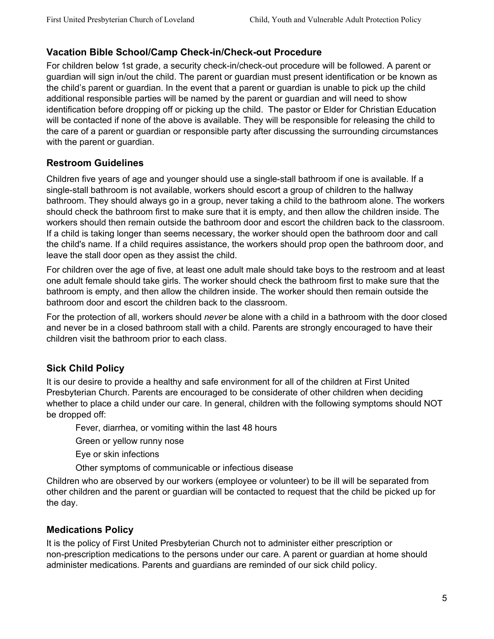### **Vacation Bible School/Camp Check-in/Check-out Procedure**

For children below 1st grade, a security check-in/check-out procedure will be followed. A parent or guardian will sign in/out the child. The parent or guardian must present identification or be known as the child's parent or guardian. In the event that a parent or guardian is unable to pick up the child additional responsible parties will be named by the parent or guardian and will need to show identification before dropping off or picking up the child. The pastor or Elder for Christian Education will be contacted if none of the above is available. They will be responsible for releasing the child to the care of a parent or guardian or responsible party after discussing the surrounding circumstances with the parent or guardian.

### **Restroom Guidelines**

Children five years of age and younger should use a single-stall bathroom if one is available. If a single-stall bathroom is not available, workers should escort a group of children to the hallway bathroom. They should always go in a group, never taking a child to the bathroom alone. The workers should check the bathroom first to make sure that it is empty, and then allow the children inside. The workers should then remain outside the bathroom door and escort the children back to the classroom. If a child is taking longer than seems necessary, the worker should open the bathroom door and call the child's name. If a child requires assistance, the workers should prop open the bathroom door, and leave the stall door open as they assist the child.

For children over the age of five, at least one adult male should take boys to the restroom and at least one adult female should take girls. The worker should check the bathroom first to make sure that the bathroom is empty, and then allow the children inside. The worker should then remain outside the bathroom door and escort the children back to the classroom.

For the protection of all, workers should *never* be alone with a child in a bathroom with the door closed and never be in a closed bathroom stall with a child. Parents are strongly encouraged to have their children visit the bathroom prior to each class.

## **Sick Child Policy**

It is our desire to provide a healthy and safe environment for all of the children at First United Presbyterian Church. Parents are encouraged to be considerate of other children when deciding whether to place a child under our care. In general, children with the following symptoms should NOT be dropped off:

Fever, diarrhea, or vomiting within the last 48 hours

Green or yellow runny nose

Eye or skin infections

Other symptoms of communicable or infectious disease

Children who are observed by our workers (employee or volunteer) to be ill will be separated from other children and the parent or guardian will be contacted to request that the child be picked up for the day.

## **Medications Policy**

It is the policy of First United Presbyterian Church not to administer either prescription or non-prescription medications to the persons under our care. A parent or guardian at home should administer medications. Parents and guardians are reminded of our sick child policy.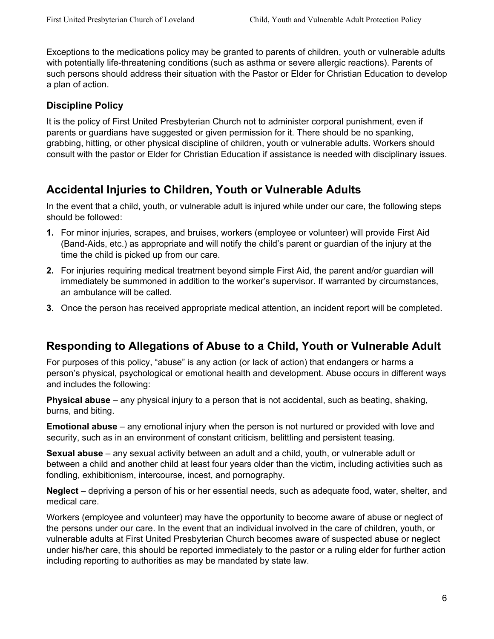Exceptions to the medications policy may be granted to parents of children, youth or vulnerable adults with potentially life-threatening conditions (such as asthma or severe allergic reactions). Parents of such persons should address their situation with the Pastor or Elder for Christian Education to develop a plan of action.

### **Discipline Policy**

It is the policy of First United Presbyterian Church not to administer corporal punishment, even if parents or guardians have suggested or given permission for it. There should be no spanking, grabbing, hitting, or other physical discipline of children, youth or vulnerable adults. Workers should consult with the pastor or Elder for Christian Education if assistance is needed with disciplinary issues.

## **Accidental Injuries to Children, Youth or Vulnerable Adults**

In the event that a child, youth, or vulnerable adult is injured while under our care, the following steps should be followed:

- **1.** For minor injuries, scrapes, and bruises, workers (employee or volunteer) will provide First Aid (Band-Aids, etc.) as appropriate and will notify the child's parent or guardian of the injury at the time the child is picked up from our care.
- **2.** For injuries requiring medical treatment beyond simple First Aid, the parent and/or guardian will immediately be summoned in addition to the worker's supervisor. If warranted by circumstances, an ambulance will be called.
- **3.** Once the person has received appropriate medical attention, an incident report will be completed.

## **Responding to Allegations of Abuse to a Child, Youth or Vulnerable Adult**

For purposes of this policy, "abuse" is any action (or lack of action) that endangers or harms a person's physical, psychological or emotional health and development. Abuse occurs in different ways and includes the following:

**Physical abuse** – any physical injury to a person that is not accidental, such as beating, shaking, burns, and biting.

**Emotional abuse** – any emotional injury when the person is not nurtured or provided with love and security, such as in an environment of constant criticism, belittling and persistent teasing.

**Sexual abuse** – any sexual activity between an adult and a child, youth, or vulnerable adult or between a child and another child at least four years older than the victim, including activities such as fondling, exhibitionism, intercourse, incest, and pornography.

**Neglect** – depriving a person of his or her essential needs, such as adequate food, water, shelter, and medical care.

Workers (employee and volunteer) may have the opportunity to become aware of abuse or neglect of the persons under our care. In the event that an individual involved in the care of children, youth, or vulnerable adults at First United Presbyterian Church becomes aware of suspected abuse or neglect under his/her care, this should be reported immediately to the pastor or a ruling elder for further action including reporting to authorities as may be mandated by state law.